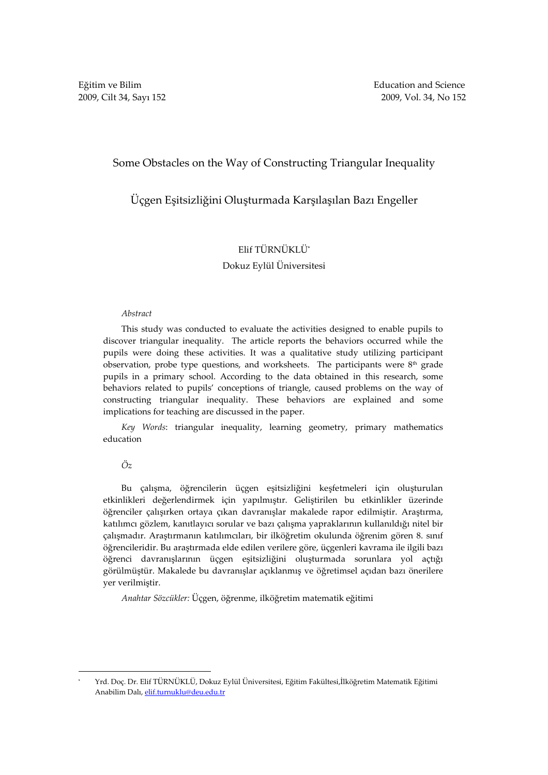## Some Obstacles on the Way of Constructing Triangular Inequality

# Üçgen Eşitsizliğini Oluşturmada Karşılaşılan Bazı Engeller

## Elif TÜRNÜKLÜ\*

Dokuz Eylül Üniversitesi

### Abstract

This study was conducted to evaluate the activities designed to enable pupils to discover triangular inequality. The article reports the behaviors occurred while the pupils were doing these activities. It was a qualitative study utilizing participant observation, probe type questions, and worksheets. The participants were  $8<sup>th</sup>$  grade pupils in a primary school. According to the data obtained in this research, some behaviors related to pupils' conceptions of triangle, caused problems on the way of constructing triangular inequality. These behaviors are explained and some implications for teaching are discussed in the paper.

Key Words: triangular inequality, learning geometry, primary mathematics education

### Öz

 $\overline{a}$ 

Bu çalışma, öğrencilerin üçgen eşitsizliğini keşfetmeleri için oluşturulan etkinlikleri değerlendirmek için yapılmıştır. Geliştirilen bu etkinlikler üzerinde öğrenciler çalışırken ortaya çıkan davranışlar makalede rapor edilmiştir. Araştırma, katılımcı gözlem, kanıtlayıcı sorular ve bazı çalışma yapraklarının kullanıldığı nitel bir çalışmadır. Araştırmanın katılımcıları, bir ilköğretim okulunda öğrenim gören 8. sınıf öğrencileridir. Bu araştırmada elde edilen verilere göre, üçgenleri kavrama ile ilgili bazı öğrenci davranışlarının üçgen eşitsizliğini oluşturmada sorunlara yol açtığı görülmüştür. Makalede bu davranışlar açıklanmış ve öğretimsel açıdan bazı önerilere yer verilmiştir.

Anahtar Sözcükler: Üçgen, öğrenme, ilköğretim matematik eğitimi

<sup>\*</sup> Yrd. Doç. Dr. Elif TÜRNÜKLÜ, Dokuz Eylül Üniversitesi, Eğitim Fakültesi,İlköğretim Matematik Eğitimi Anabilim Dalı, elif.turnuklu@deu.edu.tr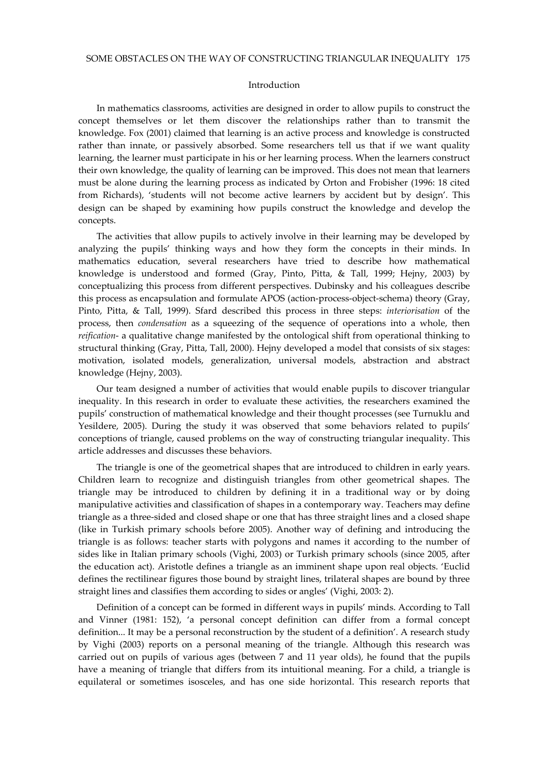#### Introduction

In mathematics classrooms, activities are designed in order to allow pupils to construct the concept themselves or let them discover the relationships rather than to transmit the knowledge. Fox (2001) claimed that learning is an active process and knowledge is constructed rather than innate, or passively absorbed. Some researchers tell us that if we want quality learning, the learner must participate in his or her learning process. When the learners construct their own knowledge, the quality of learning can be improved. This does not mean that learners must be alone during the learning process as indicated by Orton and Frobisher (1996: 18 cited from Richards), 'students will not become active learners by accident but by design'. This design can be shaped by examining how pupils construct the knowledge and develop the concepts.

The activities that allow pupils to actively involve in their learning may be developed by analyzing the pupils' thinking ways and how they form the concepts in their minds. In mathematics education, several researchers have tried to describe how mathematical knowledge is understood and formed (Gray, Pinto, Pitta, & Tall, 1999; Hejny, 2003) by conceptualizing this process from different perspectives. Dubinsky and his colleagues describe this process as encapsulation and formulate APOS (action-process-object-schema) theory (Gray, Pinto, Pitta, & Tall, 1999). Sfard described this process in three steps: interiorisation of the process, then condensation as a squeezing of the sequence of operations into a whole, then reification- a qualitative change manifested by the ontological shift from operational thinking to structural thinking (Gray, Pitta, Tall, 2000). Hejny developed a model that consists of six stages: motivation, isolated models, generalization, universal models, abstraction and abstract knowledge (Hejny, 2003).

Our team designed a number of activities that would enable pupils to discover triangular inequality. In this research in order to evaluate these activities, the researchers examined the pupils' construction of mathematical knowledge and their thought processes (see Turnuklu and Yesildere, 2005). During the study it was observed that some behaviors related to pupils' conceptions of triangle, caused problems on the way of constructing triangular inequality. This article addresses and discusses these behaviors.

The triangle is one of the geometrical shapes that are introduced to children in early years. Children learn to recognize and distinguish triangles from other geometrical shapes. The triangle may be introduced to children by defining it in a traditional way or by doing manipulative activities and classification of shapes in a contemporary way. Teachers may define triangle as a three-sided and closed shape or one that has three straight lines and a closed shape (like in Turkish primary schools before 2005). Another way of defining and introducing the triangle is as follows: teacher starts with polygons and names it according to the number of sides like in Italian primary schools (Vighi, 2003) or Turkish primary schools (since 2005, after the education act). Aristotle defines a triangle as an imminent shape upon real objects. 'Euclid defines the rectilinear figures those bound by straight lines, trilateral shapes are bound by three straight lines and classifies them according to sides or angles' (Vighi, 2003: 2).

Definition of a concept can be formed in different ways in pupils' minds. According to Tall and Vinner (1981: 152), 'a personal concept definition can differ from a formal concept definition... It may be a personal reconstruction by the student of a definition'. A research study by Vighi (2003) reports on a personal meaning of the triangle. Although this research was carried out on pupils of various ages (between 7 and 11 year olds), he found that the pupils have a meaning of triangle that differs from its intuitional meaning. For a child, a triangle is equilateral or sometimes isosceles, and has one side horizontal. This research reports that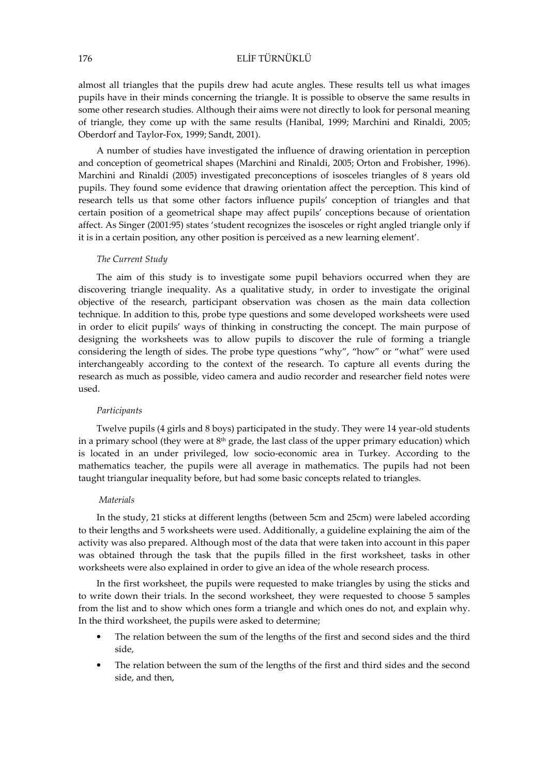## 176 ELİF TÜRNÜKLÜ

almost all triangles that the pupils drew had acute angles. These results tell us what images pupils have in their minds concerning the triangle. It is possible to observe the same results in some other research studies. Although their aims were not directly to look for personal meaning of triangle, they come up with the same results (Hanibal, 1999; Marchini and Rinaldi, 2005; Oberdorf and Taylor-Fox, 1999; Sandt, 2001).

A number of studies have investigated the influence of drawing orientation in perception and conception of geometrical shapes (Marchini and Rinaldi, 2005; Orton and Frobisher, 1996). Marchini and Rinaldi (2005) investigated preconceptions of isosceles triangles of 8 years old pupils. They found some evidence that drawing orientation affect the perception. This kind of research tells us that some other factors influence pupils' conception of triangles and that certain position of a geometrical shape may affect pupils' conceptions because of orientation affect. As Singer (2001:95) states 'student recognizes the isosceles or right angled triangle only if it is in a certain position, any other position is perceived as a new learning element'.

### The Current Study

The aim of this study is to investigate some pupil behaviors occurred when they are discovering triangle inequality. As a qualitative study, in order to investigate the original objective of the research, participant observation was chosen as the main data collection technique. In addition to this, probe type questions and some developed worksheets were used in order to elicit pupils' ways of thinking in constructing the concept. The main purpose of designing the worksheets was to allow pupils to discover the rule of forming a triangle considering the length of sides. The probe type questions "why", "how" or "what" were used interchangeably according to the context of the research. To capture all events during the research as much as possible, video camera and audio recorder and researcher field notes were used.

#### Participants

Twelve pupils (4 girls and 8 boys) participated in the study. They were 14 year-old students in a primary school (they were at 8<sup>th</sup> grade, the last class of the upper primary education) which is located in an under privileged, low socio-economic area in Turkey. According to the mathematics teacher, the pupils were all average in mathematics. The pupils had not been taught triangular inequality before, but had some basic concepts related to triangles.

#### Materials

In the study, 21 sticks at different lengths (between 5cm and 25cm) were labeled according to their lengths and 5 worksheets were used. Additionally, a guideline explaining the aim of the activity was also prepared. Although most of the data that were taken into account in this paper was obtained through the task that the pupils filled in the first worksheet, tasks in other worksheets were also explained in order to give an idea of the whole research process.

In the first worksheet, the pupils were requested to make triangles by using the sticks and to write down their trials. In the second worksheet, they were requested to choose 5 samples from the list and to show which ones form a triangle and which ones do not, and explain why. In the third worksheet, the pupils were asked to determine;

- The relation between the sum of the lengths of the first and second sides and the third side,
- The relation between the sum of the lengths of the first and third sides and the second side, and then,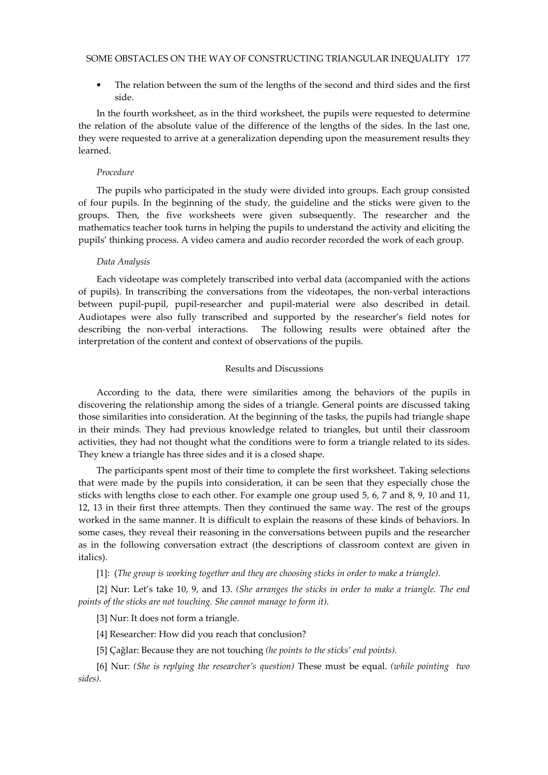• The relation between the sum of the lengths of the second and third sides and the first side.

In the fourth worksheet, as in the third worksheet, the pupils were requested to determine the relation of the absolute value of the difference of the lengths of the sides. In the last one, they were requested to arrive at a generalization depending upon the measurement results they learned.

#### Procedure

The pupils who participated in the study were divided into groups. Each group consisted of four pupils. In the beginning of the study, the guideline and the sticks were given to the groups. Then, the five worksheets were given subsequently. The researcher and the mathematics teacher took turns in helping the pupils to understand the activity and eliciting the pupils' thinking process. A video camera and audio recorder recorded the work of each group.

#### Data Analysis

Each videotape was completely transcribed into verbal data (accompanied with the actions of pupils). In transcribing the conversations from the videotapes, the non-verbal interactions between pupil-pupil, pupil-researcher and pupil-material were also described in detail. Audiotapes were also fully transcribed and supported by the researcher's field notes for describing the non-verbal interactions. The following results were obtained after the interpretation of the content and context of observations of the pupils.

#### Results and Discussions

According to the data, there were similarities among the behaviors of the pupils in discovering the relationship among the sides of a triangle. General points are discussed taking those similarities into consideration. At the beginning of the tasks, the pupils had triangle shape in their minds. They had previous knowledge related to triangles, but until their classroom activities, they had not thought what the conditions were to form a triangle related to its sides. They knew a triangle has three sides and it is a closed shape.

The participants spent most of their time to complete the first worksheet. Taking selections that were made by the pupils into consideration, it can be seen that they especially chose the sticks with lengths close to each other. For example one group used 5, 6, 7 and 8, 9, 10 and 11, 12, 13 in their first three attempts. Then they continued the same way. The rest of the groups worked in the same manner. It is difficult to explain the reasons of these kinds of behaviors. In some cases, they reveal their reasoning in the conversations between pupils and the researcher as in the following conversation extract (the descriptions of classroom context are given in italics).

[1]: (The group is working together and they are choosing sticks in order to make a triangle).

[2] Nur: Let's take 10, 9, and 13. (She arranges the sticks in order to make a triangle. The end points of the sticks are not touching. She cannot manage to form it).

[3] Nur: It does not form a triangle.

[4] Researcher: How did you reach that conclusion?

[5] Çağlar: Because they are not touching (he points to the sticks' end points).

[6] Nur: (She is replying the researcher's question) These must be equal. (while pointing two sides).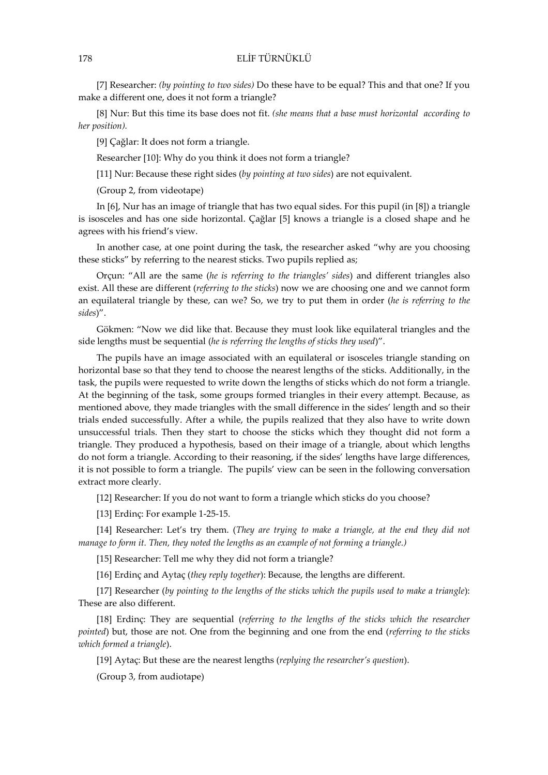[7] Researcher: (by pointing to two sides) Do these have to be equal? This and that one? If you make a different one, does it not form a triangle?

[8] Nur: But this time its base does not fit. (she means that a base must horizontal according to her position).

[9] Çağlar: It does not form a triangle.

Researcher [10]: Why do you think it does not form a triangle?

[11] Nur: Because these right sides (by pointing at two sides) are not equivalent.

(Group 2, from videotape)

In [6], Nur has an image of triangle that has two equal sides. For this pupil (in [8]) a triangle is isosceles and has one side horizontal. Çağlar [5] knows a triangle is a closed shape and he agrees with his friend's view.

In another case, at one point during the task, the researcher asked "why are you choosing these sticks" by referring to the nearest sticks. Two pupils replied as;

Orçun: "All are the same (he is referring to the triangles' sides) and different triangles also exist. All these are different (referring to the sticks) now we are choosing one and we cannot form an equilateral triangle by these, can we? So, we try to put them in order (he is referring to the sides)".

Gökmen: "Now we did like that. Because they must look like equilateral triangles and the side lengths must be sequential (he is referring the lengths of sticks they used)".

The pupils have an image associated with an equilateral or isosceles triangle standing on horizontal base so that they tend to choose the nearest lengths of the sticks. Additionally, in the task, the pupils were requested to write down the lengths of sticks which do not form a triangle. At the beginning of the task, some groups formed triangles in their every attempt. Because, as mentioned above, they made triangles with the small difference in the sides' length and so their trials ended successfully. After a while, the pupils realized that they also have to write down unsuccessful trials. Then they start to choose the sticks which they thought did not form a triangle. They produced a hypothesis, based on their image of a triangle, about which lengths do not form a triangle. According to their reasoning, if the sides' lengths have large differences, it is not possible to form a triangle. The pupils' view can be seen in the following conversation extract more clearly.

[12] Researcher: If you do not want to form a triangle which sticks do you choose?

[13] Erdinç: For example 1-25-15.

[14] Researcher: Let's try them. (They are trying to make a triangle, at the end they did not manage to form it. Then, they noted the lengths as an example of not forming a triangle.)

[15] Researcher: Tell me why they did not form a triangle?

[16] Erdinç and Aytaç (they reply together): Because, the lengths are different.

[17] Researcher (by pointing to the lengths of the sticks which the pupils used to make a triangle): These are also different.

[18] Erdinç: They are sequential (referring to the lengths of the sticks which the researcher pointed) but, those are not. One from the beginning and one from the end (referring to the sticks which formed a triangle).

[19] Aytaç: But these are the nearest lengths (replying the researcher's question).

(Group 3, from audiotape)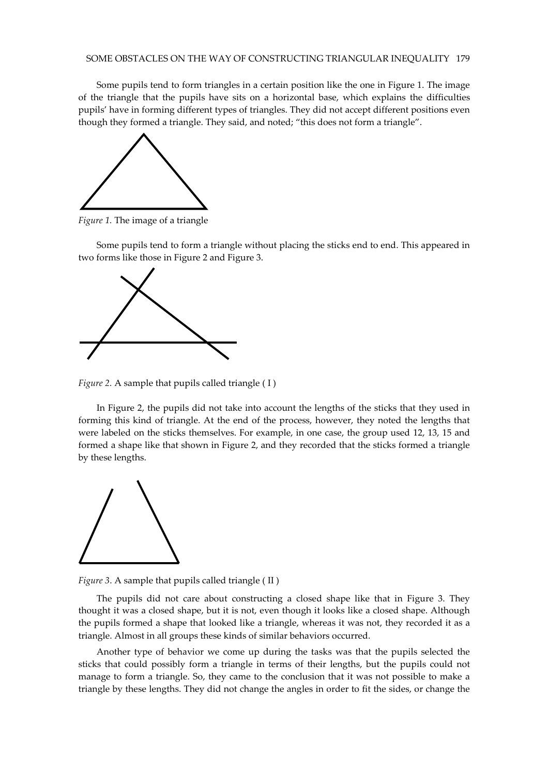Some pupils tend to form triangles in a certain position like the one in Figure 1. The image of the triangle that the pupils have sits on a horizontal base, which explains the difficulties pupils' have in forming different types of triangles. They did not accept different positions even though they formed a triangle. They said, and noted; "this does not form a triangle".



Figure 1. The image of a triangle

Some pupils tend to form a triangle without placing the sticks end to end. This appeared in two forms like those in Figure 2 and Figure 3.



Figure 2. A sample that pupils called triangle ( I )

In Figure 2, the pupils did not take into account the lengths of the sticks that they used in forming this kind of triangle. At the end of the process, however, they noted the lengths that were labeled on the sticks themselves. For example, in one case, the group used 12, 13, 15 and formed a shape like that shown in Figure 2, and they recorded that the sticks formed a triangle by these lengths.



Figure 3. A sample that pupils called triangle ( II )

The pupils did not care about constructing a closed shape like that in Figure 3. They thought it was a closed shape, but it is not, even though it looks like a closed shape. Although the pupils formed a shape that looked like a triangle, whereas it was not, they recorded it as a triangle. Almost in all groups these kinds of similar behaviors occurred.

Another type of behavior we come up during the tasks was that the pupils selected the sticks that could possibly form a triangle in terms of their lengths, but the pupils could not manage to form a triangle. So, they came to the conclusion that it was not possible to make a triangle by these lengths. They did not change the angles in order to fit the sides, or change the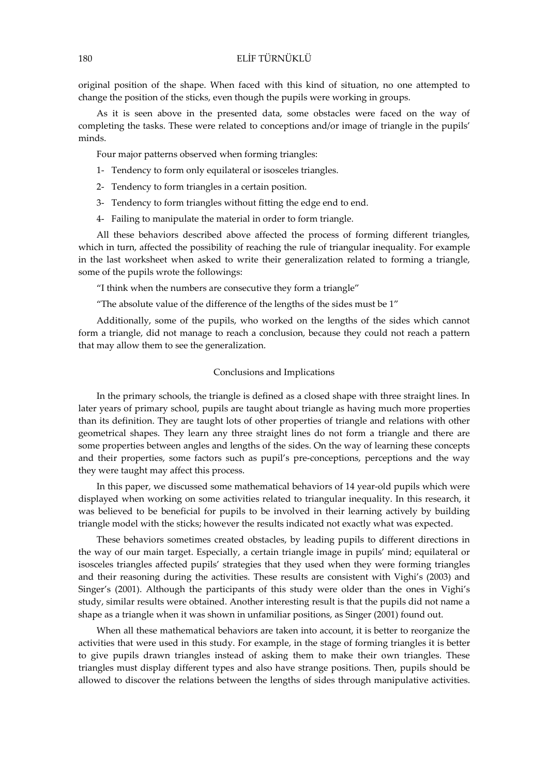## 180 ELİF TÜRNÜKLÜ

original position of the shape. When faced with this kind of situation, no one attempted to change the position of the sticks, even though the pupils were working in groups.

As it is seen above in the presented data, some obstacles were faced on the way of completing the tasks. These were related to conceptions and/or image of triangle in the pupils' minds.

Four major patterns observed when forming triangles:

- 1- Tendency to form only equilateral or isosceles triangles.
- 2- Tendency to form triangles in a certain position.
- 3- Tendency to form triangles without fitting the edge end to end.
- 4- Failing to manipulate the material in order to form triangle.

All these behaviors described above affected the process of forming different triangles, which in turn, affected the possibility of reaching the rule of triangular inequality. For example in the last worksheet when asked to write their generalization related to forming a triangle, some of the pupils wrote the followings:

"I think when the numbers are consecutive they form a triangle"

"The absolute value of the difference of the lengths of the sides must be 1"

Additionally, some of the pupils, who worked on the lengths of the sides which cannot form a triangle, did not manage to reach a conclusion, because they could not reach a pattern that may allow them to see the generalization.

## Conclusions and Implications

In the primary schools, the triangle is defined as a closed shape with three straight lines. In later years of primary school, pupils are taught about triangle as having much more properties than its definition. They are taught lots of other properties of triangle and relations with other geometrical shapes. They learn any three straight lines do not form a triangle and there are some properties between angles and lengths of the sides. On the way of learning these concepts and their properties, some factors such as pupil's pre-conceptions, perceptions and the way they were taught may affect this process.

In this paper, we discussed some mathematical behaviors of 14 year-old pupils which were displayed when working on some activities related to triangular inequality. In this research, it was believed to be beneficial for pupils to be involved in their learning actively by building triangle model with the sticks; however the results indicated not exactly what was expected.

These behaviors sometimes created obstacles, by leading pupils to different directions in the way of our main target. Especially, a certain triangle image in pupils' mind; equilateral or isosceles triangles affected pupils' strategies that they used when they were forming triangles and their reasoning during the activities. These results are consistent with Vighi's (2003) and Singer's (2001). Although the participants of this study were older than the ones in Vighi's study, similar results were obtained. Another interesting result is that the pupils did not name a shape as a triangle when it was shown in unfamiliar positions, as Singer (2001) found out.

When all these mathematical behaviors are taken into account, it is better to reorganize the activities that were used in this study. For example, in the stage of forming triangles it is better to give pupils drawn triangles instead of asking them to make their own triangles. These triangles must display different types and also have strange positions. Then, pupils should be allowed to discover the relations between the lengths of sides through manipulative activities.